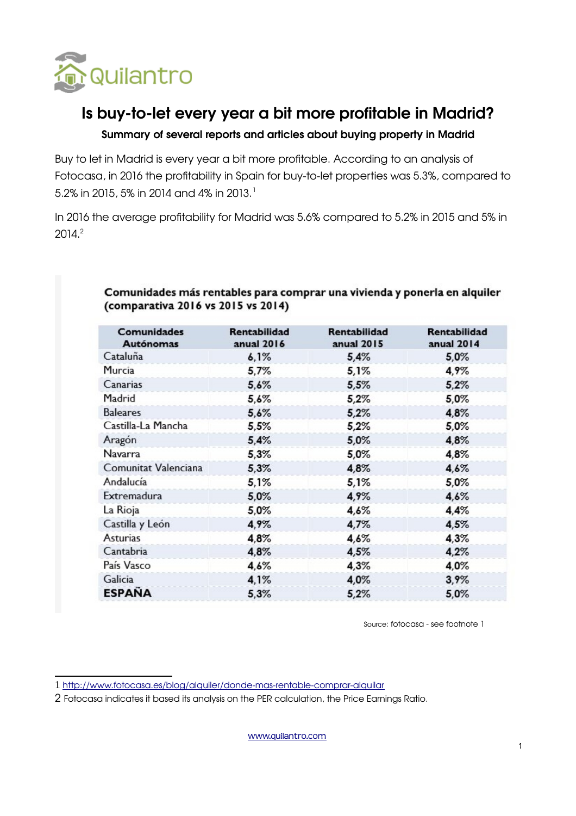

# Is buy-to-let every year a bit more profitable in Madrid?

# Summary of several reports and articles about buying property in Madrid

Buy to let in Madrid is every year a bit more profitable. According to an analysis of Fotocasa, in 2016 the profitability in Spain for buy-to-let properties was 5.3%, compared to 5.2% in 20[1](#page-0-0)5, 5% in 2014 and 4% in 2013.<sup>1</sup>

In 2016 the average profitability for Madrid was 5.6% compared to 5.2% in 2015 and 5% in 2014.[2](#page-0-1)

| Comunidades<br>Autónomas | Rentabilidad<br>anual 2016 | Rentabilidad<br>anual 2015 | Rentabilidad<br>anual 2014 |
|--------------------------|----------------------------|----------------------------|----------------------------|
| Cataluña                 | 6,1%                       | 5,4%                       | 5,0%                       |
| Murcia                   | 5,7%                       | 5,1%                       | 4,9%                       |
| Canarias                 | 5,6%                       | 5,5%                       | 5,2%                       |
| Madrid                   | 5,6%                       | 5,2%                       | 5,0%                       |
| <b>Baleares</b>          | 5,6%                       | 5,2%                       | 4,8%                       |
| Castilla-La Mancha       | 5,5%                       | 5,2%                       | 5,0%                       |
| Aragón                   | 5,4%                       | 5,0%                       | 4,8%                       |
| Navarra                  | 5,3%                       | 5,0%                       | 4,8%                       |
| Comunitat Valenciana     | 5,3%                       | 4,8%                       | 4,6%                       |
| Andalucía                | 5,1%                       | 5,1%                       | 5,0%                       |
| Extremadura              | 5,0%                       | 4,9%                       | 4,6%                       |
| La Rioja                 | 5,0%                       | 4,6%                       | 4,4%                       |
| Castilla y León          | 4,9%                       | 4,7%                       | 4,5%                       |
| Asturias                 | 4,8%                       | 4,6%                       | 4,3%                       |
| Cantabria                | 4,8%                       | 4,5%                       | 4,2%                       |
| País Vasco               | 4,6%                       | 4,3%                       | 4,0%                       |
| Galicia                  | 4,1%                       | 4,0%                       | 3,9%                       |
| <b>ESPAÑA</b>            | 5,3%                       | 5,2%                       | 5,0%                       |

#### Comunidades más rentables para comprar una vivienda y ponerla en alquiler (comparativa 2016 vs 2015 vs 2014)

Source: fotocasa - see footnote 1

[www.quilantro.com](http://www.quilantro.com/)

<span id="page-0-0"></span><sup>1</sup> <http://www.fotocasa.es/blog/alquiler/donde-mas-rentable-comprar-alquilar>

<span id="page-0-1"></span><sup>2</sup> Fotocasa indicates it based its analysis on the PER calculation, the Price Earnings Ratio.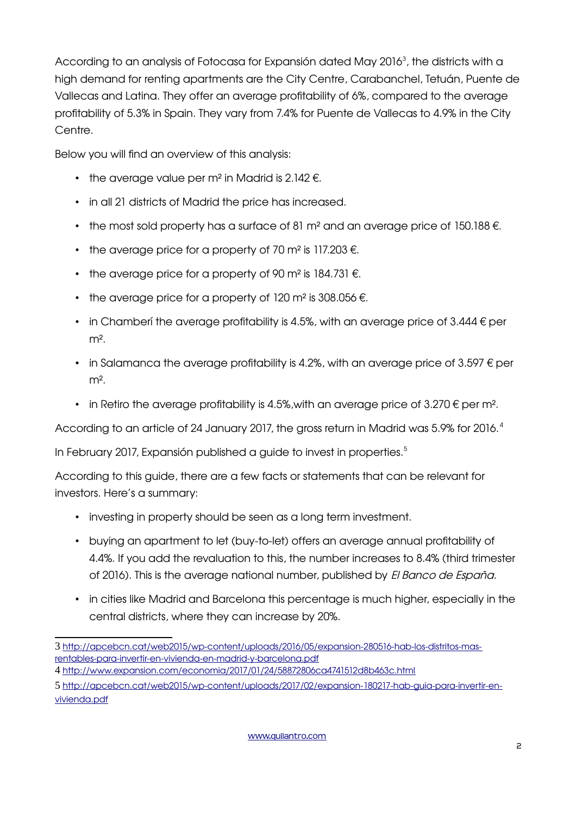According to an analysis of Fotocasa for Expansión dated May 2016<sup>[3](#page-1-0)</sup>, the districts with a high demand for renting apartments are the City Centre, Carabanchel, Tetuán, Puente de Vallecas and Latina. They offer an average profitability of 6%, compared to the average profitability of 5.3% in Spain. They vary from 7.4% for Puente de Vallecas to 4.9% in the City Centre.

Below you will find an overview of this analysis:

- the average value per m<sup>2</sup> in Madrid is 2.142  $\epsilon$ .
- in all 21 districts of Madrid the price has increased.
- the most sold property has a surface of 81 m<sup>2</sup> and an average price of 150.188  $\epsilon$ .
- the average price for a property of 70 m<sup>2</sup> is 117.203  $\epsilon$ .
- the average price for a property of 90 m<sup>2</sup> is 184.731  $\epsilon$ .
- the average price for a property of 120 m<sup>2</sup> is 308.056  $\epsilon$ .
- in Chamberí the average profitability is 4.5%, with an average price of 3.444  $\epsilon$  per  $m<sup>2</sup>$ .
- in Salamanca the average profitability is 4.2%, with an average price of 3.597  $\epsilon$  per  $m<sup>2</sup>$ .
- in Retiro the average profitability is 4.5%, with an average price of 3.270  $\epsilon$  per m<sup>2</sup>.

According to an article of 2[4](#page-1-1) January 2017, the gross return in Madrid was 5.9% for 2016.<sup>4</sup>

In February 2017, Expansión published a guide to invest in properties.<sup>[5](#page-1-2)</sup>

According to this guide, there are a few facts or statements that can be relevant for investors. Here's a summary:

- investing in property should be seen as a long term investment.
- buying an apartment to let (buy-to-let) offers an average annual profitability of 4.4%. If you add the revaluation to this, the number increases to 8.4% (third trimester of 2016). This is the average national number, published by El Banco de España.
- in cities like Madrid and Barcelona this percentage is much higher, especially in the central districts, where they can increase by 20%.

<span id="page-1-0"></span><sup>3</sup> [http://apcebcn.cat/web2015/wp-content/uploads/2016/05/expansion-280516-hab-los-distritos-mas](http://apcebcn.cat/web2015/wp-content/uploads/2016/05/expansion-280516-hab-los-distritos-mas-rentables-para-invertir-en-vivienda-en-madrid-y-barcelona.pdf)[rentables-para-invertir-en-vivienda-en-madrid-y-barcelona.pdf](http://apcebcn.cat/web2015/wp-content/uploads/2016/05/expansion-280516-hab-los-distritos-mas-rentables-para-invertir-en-vivienda-en-madrid-y-barcelona.pdf)

<span id="page-1-1"></span><sup>4</sup> <http://www.expansion.com/economia/2017/01/24/58872806ca4741512d8b463c.html>

<span id="page-1-2"></span><sup>5</sup> [http://apcebcn.cat/web2015/wp-content/uploads/2017/02/expansion-180217-hab-guia-para-invertir-en](http://apcebcn.cat/web2015/wp-content/uploads/2017/02/expansion-180217-hab-guia-para-invertir-en-vivienda.pdf)[vivienda.pdf](http://apcebcn.cat/web2015/wp-content/uploads/2017/02/expansion-180217-hab-guia-para-invertir-en-vivienda.pdf)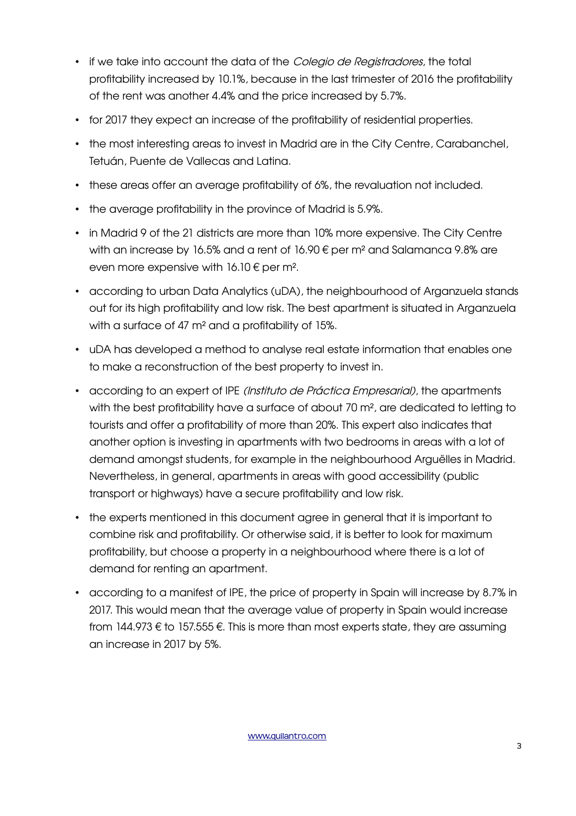- if we take into account the data of the Colegio de Registradores, the total profitability increased by 10.1%, because in the last trimester of 2016 the profitability of the rent was another 4.4% and the price increased by 5.7%.
- for 2017 they expect an increase of the profitability of residential properties.
- the most interesting areas to invest in Madrid are in the City Centre, Carabanchel, Tetuán, Puente de Vallecas and Latina.
- these areas offer an average profitability of 6%, the revaluation not included.
- the average profitability in the province of Madrid is 5.9%.
- in Madrid 9 of the 21 districts are more than 10% more expensive. The City Centre with an increase by 16.5% and a rent of 16.90  $\epsilon$  per m<sup>2</sup> and Salamanca 9.8% are even more expensive with  $16.10 \text{ } \in \text{per } m^2$ .
- according to urban Data Analytics (uDA), the neighbourhood of Arganzuela stands out for its high profitability and low risk. The best apartment is situated in Arganzuela with a surface of 47 m<sup>2</sup> and a profitability of 15%.
- uDA has developed a method to analyse real estate information that enables one to make a reconstruction of the best property to invest in.
- according to an expert of IPE (Instituto de Práctica Empresarial), the apartments with the best profitability have a surface of about 70 m<sup>2</sup>, are dedicated to letting to tourists and offer a profitability of more than 20%. This expert also indicates that another option is investing in apartments with two bedrooms in areas with a lot of demand amongst students, for example in the neighbourhood Arguëlles in Madrid. Nevertheless, in general, apartments in areas with good accessibility (public transport or highways) have a secure profitability and low risk.
- the experts mentioned in this document agree in general that it is important to combine risk and profitability. Or otherwise said, it is better to look for maximum profitability, but choose a property in a neighbourhood where there is a lot of demand for renting an apartment.
- according to a manifest of IPE, the price of property in Spain will increase by 8.7% in 2017. This would mean that the average value of property in Spain would increase from 144.973  $\epsilon$  to 157.555  $\epsilon$ . This is more than most experts state, they are assuming an increase in 2017 by 5%.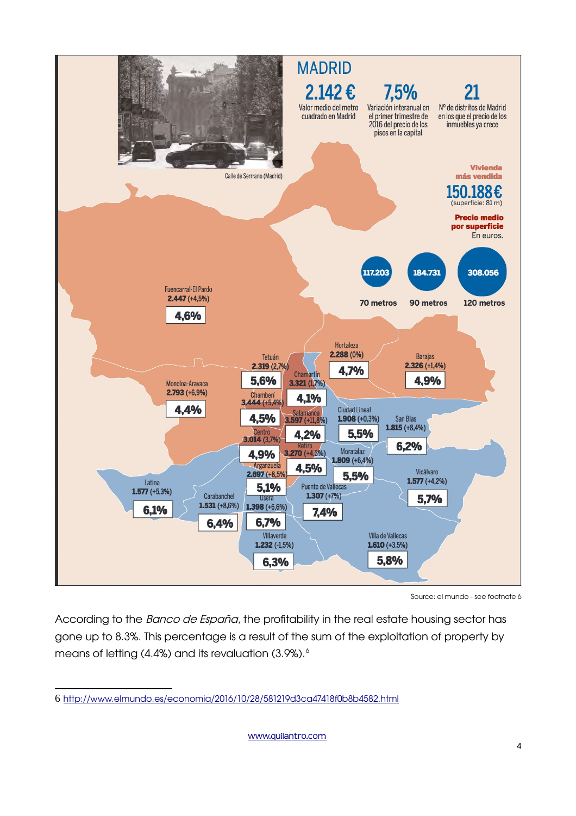

Source: el mundo - see footnote 6

According to the Banco de España, the profitability in the real estate housing sector has gone up to 8.3%. This percentage is a result of the sum of the exploitation of property by means of letting (4.4%) and its revaluation (3.9%).<sup>[6](#page-3-0)</sup>

<span id="page-3-0"></span><sup>6</sup> <http://www.elmundo.es/economia/2016/10/28/581219d3ca47418f0b8b4582.html>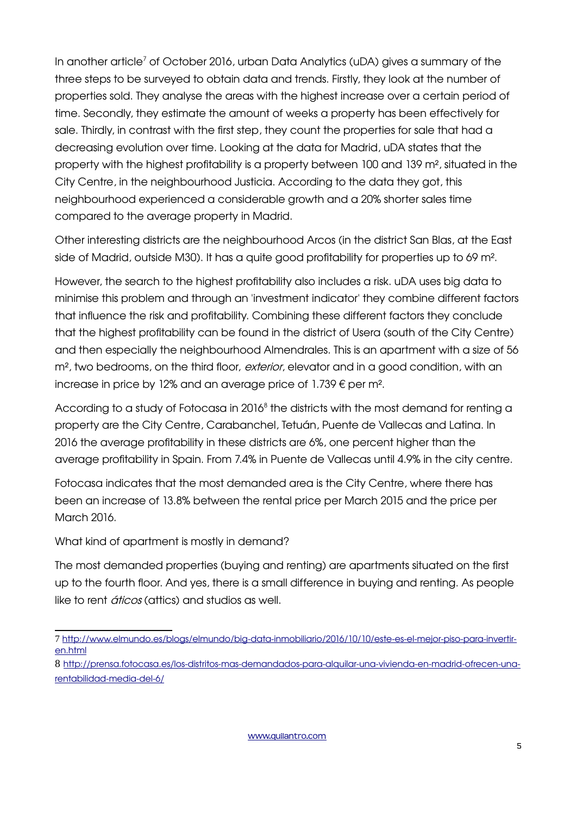In another article<sup>[7](#page-4-0)</sup> of October 2016, urban Data Analytics (uDA) gives a summary of the three steps to be surveyed to obtain data and trends. Firstly, they look at the number of properties sold. They analyse the areas with the highest increase over a certain period of time. Secondly, they estimate the amount of weeks a property has been effectively for sale. Thirdly, in contrast with the first step, they count the properties for sale that had a decreasing evolution over time. Looking at the data for Madrid, uDA states that the property with the highest profitability is a property between 100 and 139 m², situated in the City Centre, in the neighbourhood Justicia. According to the data they got, this neighbourhood experienced a considerable growth and a 20% shorter sales time compared to the average property in Madrid.

Other interesting districts are the neighbourhood Arcos (in the district San Blas, at the East side of Madrid, outside M30). It has a quite good profitability for properties up to 69 m².

However, the search to the highest profitability also includes a risk. uDA uses big data to minimise this problem and through an 'investment indicator' they combine different factors that influence the risk and profitability. Combining these different factors they conclude that the highest profitability can be found in the district of Usera (south of the City Centre) and then especially the neighbourhood Almendrales. This is an apartment with a size of 56 m<sup>2</sup>, two bedrooms, on the third floor, *exterior*, elevator and in a good condition, with an increase in price by 12% and an average price of 1.739 € per m².

According to a study of Fotocasa in 2016 $^8$  $^8$  the districts with the most demand for renting a property are the City Centre, Carabanchel, Tetuán, Puente de Vallecas and Latina. In 2016 the average profitability in these districts are 6%, one percent higher than the average profitability in Spain. From 7.4% in Puente de Vallecas until 4.9% in the city centre.

Fotocasa indicates that the most demanded area is the City Centre, where there has been an increase of 13.8% between the rental price per March 2015 and the price per March 2016.

What kind of apartment is mostly in demand?

The most demanded properties (buying and renting) are apartments situated on the first up to the fourth floor. And yes, there is a small difference in buying and renting. As people like to rent *áticos* (attics) and studios as well.

<span id="page-4-0"></span><sup>7</sup> [http://www.elmundo.es/blogs/elmundo/big-data-inmobiliario/2016/10/10/este-es-el-mejor-piso-para-invertir](http://www.elmundo.es/blogs/elmundo/big-data-inmobiliario/2016/10/10/este-es-el-mejor-piso-para-invertir-en.html)[en.html](http://www.elmundo.es/blogs/elmundo/big-data-inmobiliario/2016/10/10/este-es-el-mejor-piso-para-invertir-en.html)

<span id="page-4-1"></span><sup>8</sup> [http://prensa.fotocasa.es/los-distritos-mas-demandados-para-alquilar-una-vivienda-en-madrid-ofrecen-una](http://prensa.fotocasa.es/los-distritos-mas-demandados-para-alquilar-una-vivienda-en-madrid-ofrecen-una-rentabilidad-media-del-6/)[rentabilidad-media-del-6/](http://prensa.fotocasa.es/los-distritos-mas-demandados-para-alquilar-una-vivienda-en-madrid-ofrecen-una-rentabilidad-media-del-6/)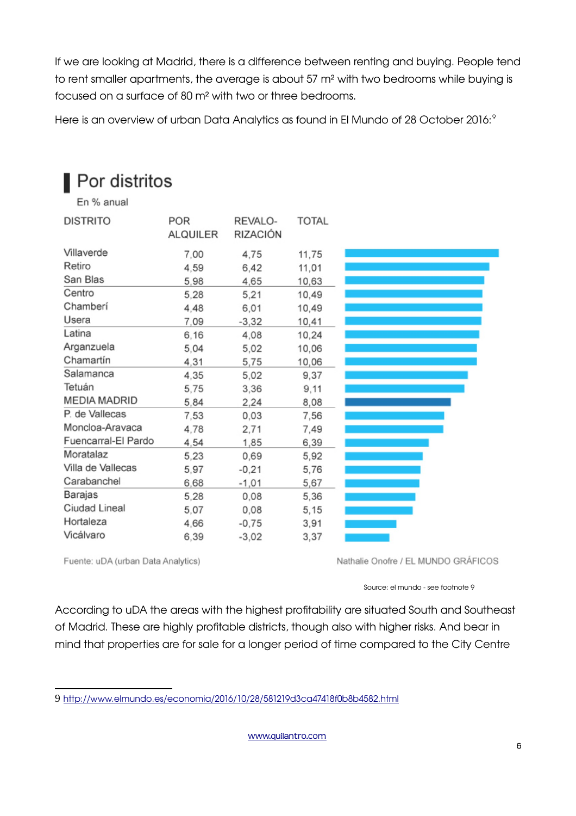If we are looking at Madrid, there is a difference between renting and buying. People tend to rent smaller apartments, the average is about 57 m² with two bedrooms while buying is focused on a surface of 80 m² with two or three bedrooms.

Here is an overview of urban Data Analytics as found in El Mundo of 28 October 2016:<sup>[9](#page-5-0)</sup>

|  | Por distritos |
|--|---------------|
|  |               |

En % anual

| <b>DISTRITO</b>     | <b>POR</b><br><b>ALQUILER</b> | REVALO-<br>RIZACIÓN | <b>TOTAL</b> |
|---------------------|-------------------------------|---------------------|--------------|
| Villaverde          | 7,00                          | 4,75                | 11,75        |
| Retiro              | 4,59                          | 6,42                | 11,01        |
| San Blas            | 5,98                          | 4,65                | 10,63        |
| Centro              | 5,28                          | 5,21                | 10,49        |
| Chamberí            | 4,48                          | 6,01                | 10,49        |
| Usera               | 7,09                          | $-3,32$             | 10,41        |
| Latina              | 6,16                          | 4,08                | 10,24        |
| Arganzuela          | 5,04                          | 5,02                | 10,06        |
| Chamartín           | 4,31                          | 5,75                | 10,06        |
| Salamanca           | 4,35                          | 5,02                | 9,37         |
| Tetuán              | 5,75                          | 3,36                | 9,11         |
| <b>MEDIA MADRID</b> | 5,84                          | 2,24                | 8,08         |
| P. de Vallecas      | 7,53                          | 0,03                | 7,56         |
| Moncloa-Aravaca     | 4,78                          | 2,71                | 7,49         |
| Fuencarral-El Pardo | 4.54                          | 1,85                | 6,39         |
| Moratalaz           | 5,23                          | 0,69                | 5,92         |
| Villa de Vallecas   | 5,97                          | $-0,21$             | 5,76         |
| Carabanchel         | 6,68                          | $-1,01$             | 5,67         |
| Barajas             | 5,28                          | 0.08                | 5,36         |
| Ciudad Lineal       | 5,07                          | 0,08                | 5, 15        |
| Hortaleza           | 4,66                          | $-0,75$             | 3,91         |
| Vicálvaro           | 6,39                          | $-3,02$             | 3,37         |

Fuente: uDA (urban Data Analytics)

Source: el mundo - see footnote 9

According to uDA the areas with the highest profitability are situated South and Southeast of Madrid. These are highly profitable districts, though also with higher risks. And bear in mind that properties are for sale for a longer period of time compared to the City Centre

Nathalie Onofre / EL MUNDO GRÁFICOS

<span id="page-5-0"></span><sup>9</sup> <http://www.elmundo.es/economia/2016/10/28/581219d3ca47418f0b8b4582.html>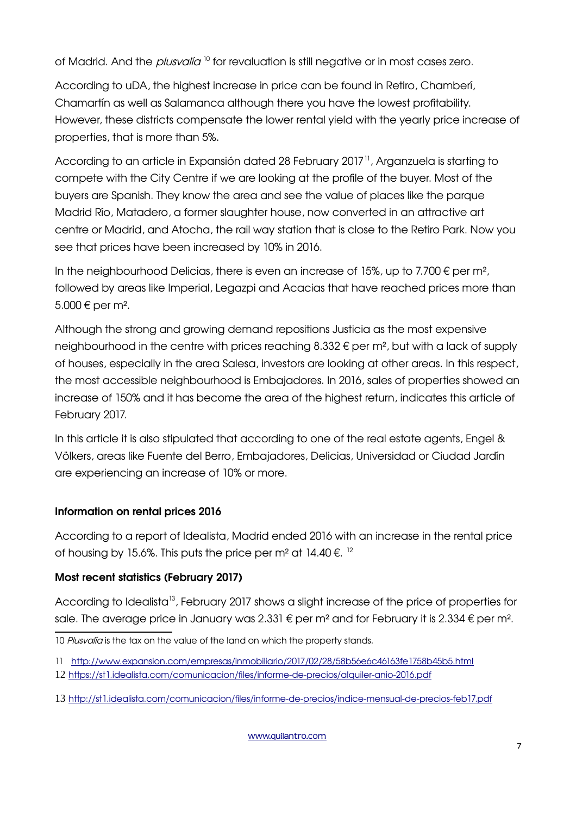of Madrid. And the *plusvalía* <sup>[10](#page-6-0)</sup> for revaluation is still negative or in most cases zero.

According to uDA, the highest increase in price can be found in Retiro, Chamberí, Chamartín as well as Salamanca although there you have the lowest profitability. However, these districts compensate the lower rental yield with the yearly price increase of properties, that is more than 5%.

According to an article in Expansión dated 28 February 2017<sup>[11](#page-6-1)</sup>, Arganzuela is starting to compete with the City Centre if we are looking at the profile of the buyer. Most of the buyers are Spanish. They know the area and see the value of places like the parque Madrid Río, Matadero, a former slaughter house, now converted in an attractive art centre or Madrid, and Atocha, the rail way station that is close to the Retiro Park. Now you see that prices have been increased by 10% in 2016.

In the neighbourhood Delicias, there is even an increase of 15%, up to 7.700  $\epsilon$  per m<sup>2</sup>, followed by areas like Imperial, Legazpi and Acacias that have reached prices more than 5.000 € per m².

Although the strong and growing demand repositions Justicia as the most expensive neighbourhood in the centre with prices reaching  $8.332 \epsilon$  per m<sup>2</sup>, but with a lack of supply of houses, especially in the area Salesa, investors are looking at other areas. In this respect, the most accessible neighbourhood is Embajadores. In 2016, sales of properties showed an increase of 150% and it has become the area of the highest return, indicates this article of February 2017.

In this article it is also stipulated that according to one of the real estate agents, Engel & Völkers, areas like Fuente del Berro, Embajadores, Delicias, Universidad or Ciudad Jardín are experiencing an increase of 10% or more.

# Information on rental prices 2016

According to a report of Idealista, Madrid ended 2016 with an increase in the rental price of housing by 15.6%. This puts the price per m<sup>2</sup> at 14.40  $\epsilon$ . <sup>[12](#page-6-2)</sup>

# Most recent statistics (February 2017)

According to Idealista<sup>[13](#page-6-3)</sup>, February 2017 shows a slight increase of the price of properties for sale. The average price in January was 2.331 € per m<sup>2</sup> and for February it is 2.334 € per m<sup>2</sup>.

<span id="page-6-0"></span><sup>10</sup> Plusvalía is the tax on the value of the land on which the property stands.

<span id="page-6-1"></span><sup>11</sup> <http://www.expansion.com/empresas/inmobiliario/2017/02/28/58b56e6c46163fe1758b45b5.html>

<span id="page-6-2"></span><sup>12</sup> <https://st1.idealista.com/comunicacion/files/informe-de-precios/alquiler-anio-2016.pdf>

<span id="page-6-3"></span><sup>13</sup> [http://st1.idealista.com/comunicacion/files/informe-de-precios/indice-mensual-de-precios-feb17.pdf](https://st1.idealista.com/comunicacion/files/informe-de-precios/indice-mensual-de-precios-feb17.pdf)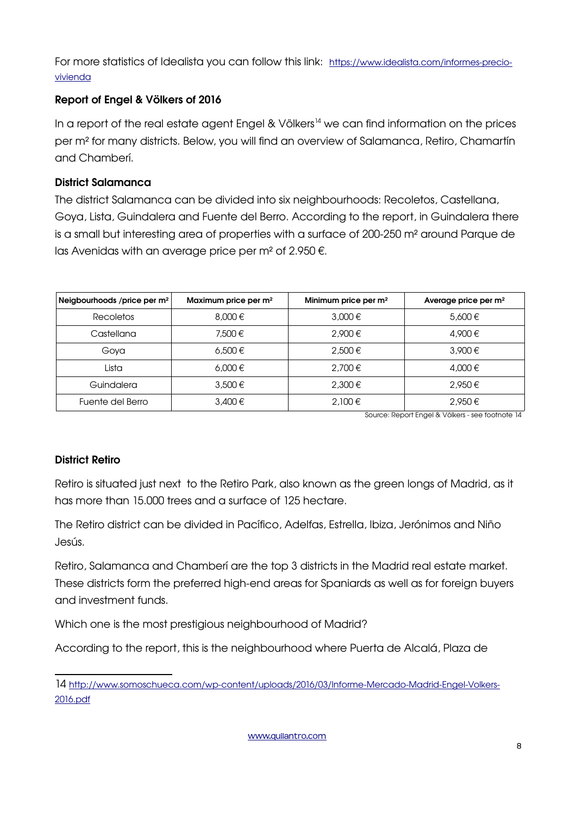For more statistics of Idealista you can follow this link: [https://www.idealista.com/informes-precio](https://www.idealista.com/informes-precio-vivienda)[vivienda](https://www.idealista.com/informes-precio-vivienda)

# Report of Engel & Völkers of 2016

In a report of the real estate agent Engel & Völkers<sup>[14](#page-7-0)</sup> we can find information on the prices per m² for many districts. Below, you will find an overview of Salamanca, Retiro, Chamartín and Chamberí.

# District Salamanca

The district Salamanca can be divided into six neighbourhoods: Recoletos, Castellana, Goya, Lista, Guindalera and Fuente del Berro. According to the report, in Guindalera there is a small but interesting area of properties with a surface of 200-250 m² around Parque de las Avenidas with an average price per m² of 2.950 €.

| Neigbourhoods /price per m <sup>2</sup> | Maximum price per m <sup>2</sup> | Minimum price per m <sup>2</sup> | Average price per m <sup>2</sup> |
|-----------------------------------------|----------------------------------|----------------------------------|----------------------------------|
| Recoletos                               | $8,000 \in$                      | $3,000 \in$                      | 5.600 €                          |
| Castellana                              | 7,500 €                          | 2,900€                           | 4.900€                           |
| Gova                                    | 6,500 €                          | 2,500€                           | $3.900 \in$                      |
| Lista                                   | 6,000 €                          | 2,700€                           | 4.000 €                          |
| Guindalera                              | $3,500 \in$                      | 2,300€                           | 2.950€                           |
| Fuente del Berro                        | $3,400 \in$                      | 2,100€                           | 2.950€                           |

Source: Report Engel & Völkers - see footnote 14

#### District Retiro

Retiro is situated just next to the Retiro Park, also known as the green longs of Madrid, as it has more than 15.000 trees and a surface of 125 hectare.

The Retiro district can be divided in Pacífico, Adelfas, Estrella, Ibiza, Jerónimos and Niño Jesús.

Retiro, Salamanca and Chamberí are the top 3 districts in the Madrid real estate market. These districts form the preferred high-end areas for Spaniards as well as for foreign buyers and investment funds.

Which one is the most prestigious neighbourhood of Madrid?

According to the report, this is the neighbourhood where Puerta de Alcalá, Plaza de

[www.quilantro.com](http://www.quilantro.com/)

<span id="page-7-0"></span><sup>14</sup> [http://www.somoschueca.com/wp-content/uploads/2016/03/Informe-Mercado-Madrid-Engel-Volkers-](http://www.somoschueca.com/wp-content/uploads/2016/03/Informe-Mercado-Madrid-Engel-Volkers-2016.pdf)[2016.pdf](http://www.somoschueca.com/wp-content/uploads/2016/03/Informe-Mercado-Madrid-Engel-Volkers-2016.pdf)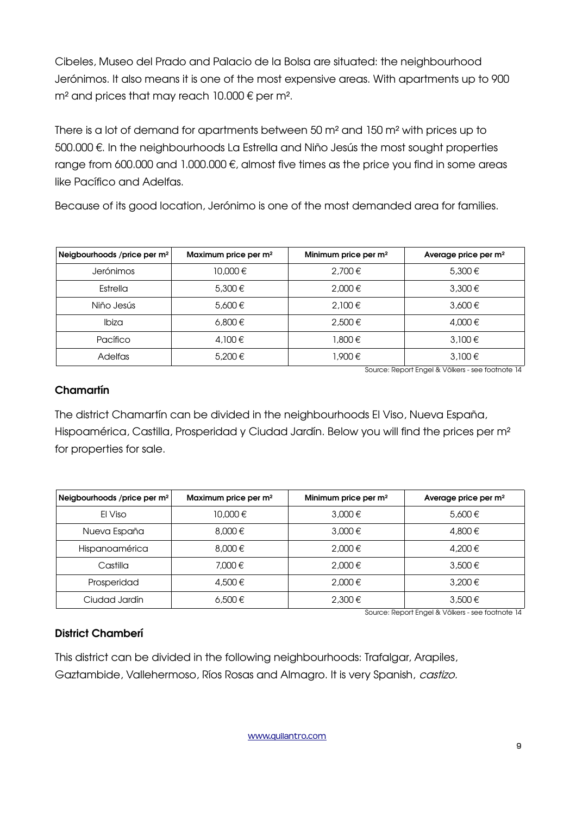Cibeles, Museo del Prado and Palacio de la Bolsa are situated: the neighbourhood Jerónimos. It also means it is one of the most expensive areas. With apartments up to 900  $m<sup>2</sup>$  and prices that may reach 10.000  $\epsilon$  per m<sup>2</sup>.

There is a lot of demand for apartments between 50 m² and 150 m² with prices up to 500.000 €. In the neighbourhoods La Estrella and Niño Jesús the most sought properties range from 600.000 and 1.000.000  $\epsilon$ , almost five times as the price you find in some areas like Pacífico and Adelfas.

Because of its good location, Jerónimo is one of the most demanded area for families.

| Neigbourhoods /price per $m^2$ | Maximum price per m <sup>2</sup> | Minimum price per m <sup>2</sup> | Average price per m <sup>2</sup> |
|--------------------------------|----------------------------------|----------------------------------|----------------------------------|
| <b>Jerónimos</b>               | 10,000 €                         | 2,700€                           | $5,300 \in$                      |
| Estrella                       | 5,300 €                          | $2.000 \in$                      | $3.300 \in$                      |
| Niño Jesús                     | 5,600 €                          | 2,100 €                          | 3.600 €                          |
| <b>Ibiza</b>                   | 6,800 €                          | 2,500€                           | 4.000 €                          |
| Pacífico                       | 4,100 €                          | 1,800€                           | $3.100 \in$                      |
| <b>Adelfas</b>                 | 5,200€                           | 1.900 €                          | $3,100 \in$                      |

Source: Report Engel & Völkers - see footnote 14

#### Chamartín

The district Chamartín can be divided in the neighbourhoods El Viso, Nueva España, Hispoamérica, Castilla, Prosperidad y Ciudad Jardín. Below you will find the prices per m² for properties for sale.

| Neigbourhoods /price per $m2$ | Maximum price per m <sup>2</sup> | Minimum price per m <sup>2</sup> | Average price per m <sup>2</sup> |
|-------------------------------|----------------------------------|----------------------------------|----------------------------------|
| El Viso                       | 10,000 €                         | $3,000 \in$                      | 5,600 €                          |
| Nueva España                  | $0.000 \in$                      | $3,000 \in$                      | 4.800€                           |
| Hispanoamérica                | $8,000 \in$                      | $2,000 \in$                      | 4,200€                           |
| Castilla                      | 7.000 €                          | 2.000€                           | $3,500 \in$                      |
| Prosperidad                   | 4,500€                           | 2.000€                           | $3,200 \in$                      |
| Ciudad Jardín                 | 6,500 €                          | $2,300 \in$                      | $3,500 \in$                      |

Source: Report Engel & Völkers - see footnote 14

# District Chamberí

This district can be divided in the following neighbourhoods: Trafalgar, Arapiles, Gaztambide, Vallehermoso, Ríos Rosas and Almagro. It is very Spanish, castizo.

[www.quilantro.com](http://www.quilantro.com/)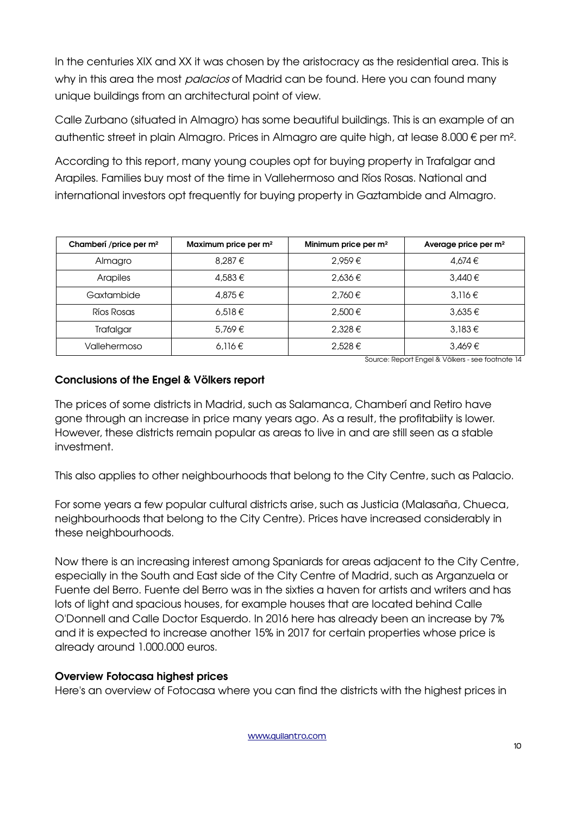In the centuries XIX and XX it was chosen by the aristocracy as the residential area. This is why in this area the most palacios of Madrid can be found. Here you can found many unique buildings from an architectural point of view.

Calle Zurbano (situated in Almagro) has some beautiful buildings. This is an example of an authentic street in plain Almagro. Prices in Almagro are quite high, at lease 8.000 € per m².

According to this report, many young couples opt for buying property in Trafalgar and Arapiles. Families buy most of the time in Vallehermoso and Ríos Rosas. National and international investors opt frequently for buying property in Gaztambide and Almagro.

| Chamberí /price per m <sup>2</sup> | Maximum price per m <sup>2</sup> | Minimum price per m <sup>2</sup> | Average price per m <sup>2</sup> |
|------------------------------------|----------------------------------|----------------------------------|----------------------------------|
| Almagro                            | 8,287€                           | 2.959€                           | 4,674 €                          |
| <b>Arapiles</b>                    | 4,583€                           | $2.636 \in$                      | $3.440 \in$                      |
| Gaxtambide                         | 4,875€                           | 2,760€                           | 3.116€                           |
| Ríos Rosas                         | 6.518 €                          | 2,500€                           | $3.635 \in$                      |
| Trafalgar                          | $5.769 \in$                      | $2.328 \in$                      | $3.183 \in$                      |
| Vallehermoso                       | 6.116 €                          | 2.528€                           | $3,469 \in$                      |

Source: Report Engel & Völkers - see footnote 14

#### Conclusions of the Engel & Völkers report

The prices of some districts in Madrid, such as Salamanca, Chamberí and Retiro have gone through an increase in price many years ago. As a result, the profitabiity is lower. However, these districts remain popular as areas to live in and are still seen as a stable investment.

This also applies to other neighbourhoods that belong to the City Centre, such as Palacio.

For some years a few popular cultural districts arise, such as Justicia (Malasaña, Chueca, neighbourhoods that belong to the City Centre). Prices have increased considerably in these neighbourhoods.

Now there is an increasing interest among Spaniards for areas adjacent to the City Centre, especially in the South and East side of the City Centre of Madrid, such as Arganzuela or Fuente del Berro. Fuente del Berro was in the sixties a haven for artists and writers and has lots of light and spacious houses, for example houses that are located behind Calle O'Donnell and Calle Doctor Esquerdo. In 2016 here has already been an increase by 7% and it is expected to increase another 15% in 2017 for certain properties whose price is already around 1.000.000 euros.

#### Overview Fotocasa highest prices

Here's an overview of Fotocasa where you can find the districts with the highest prices in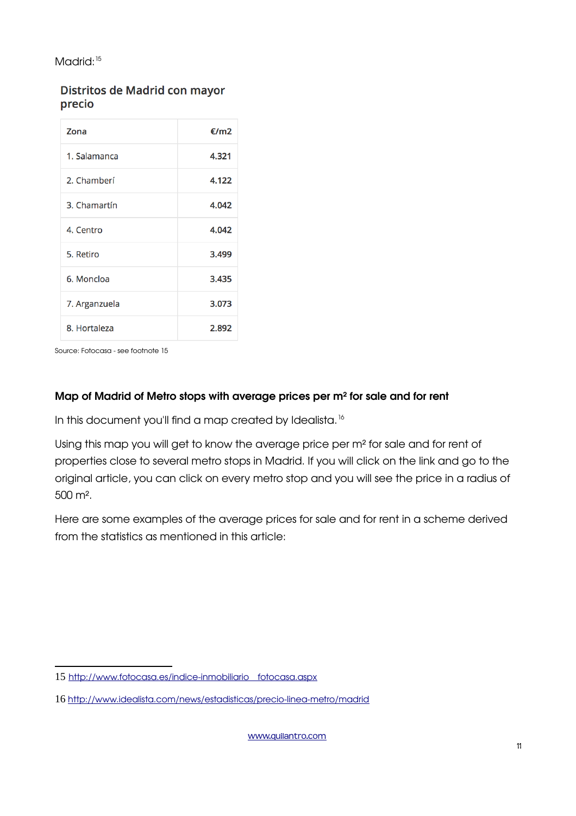#### Madrid<sup>, [15](#page-10-0)</sup>

### Distritos de Madrid con mayor precio

| Zona          | €/m2  |
|---------------|-------|
| 1. Salamanca  | 4.321 |
| 2. Chamberí   | 4.122 |
| 3. Chamartín  | 4.042 |
| 4. Centro     | 4.042 |
| 5. Retiro     | 3.499 |
| 6. Moncloa    | 3.435 |
| 7. Arganzuela | 3.073 |
| 8. Hortaleza  | 2.892 |

Source: Fotocasa - see footnote 15

#### Map of Madrid of Metro stops with average prices per m² for sale and for rent

In this document you'll find a map created by Idealista.<sup>[16](#page-10-1)</sup>

Using this map you will get to know the average price per m² for sale and for rent of properties close to several metro stops in Madrid. If you will click on the link and go to the original article, you can click on every metro stop and you will see the price in a radius of 500 m².

Here are some examples of the average prices for sale and for rent in a scheme derived from the statistics as mentioned in this article:

<span id="page-10-0"></span><sup>15</sup> [http://www.fotocasa.es/indice-inmobiliario\\_\\_fotocasa.aspx](http://www.fotocasa.es/indice-inmobiliario__fotocasa.aspx)

<span id="page-10-1"></span><sup>16</sup> [http://www.idealista.com/news/estadisticas/precio-linea-metro/madrid](https://www.idealista.com/news/estadisticas/precio-linea-metro/madrid)